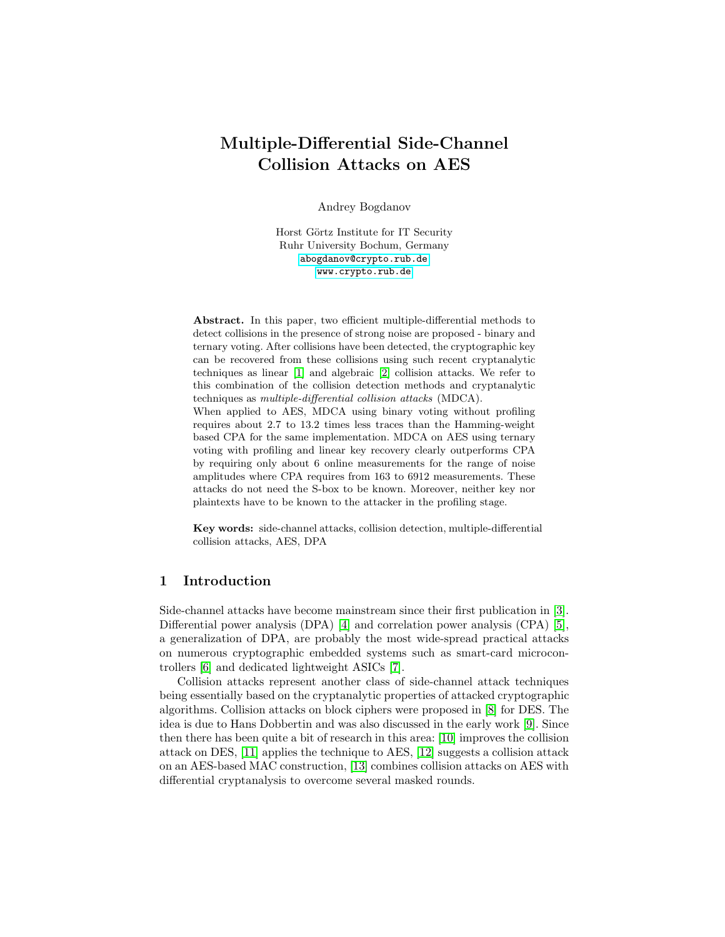# Multiple-Differential Side-Channel Collision Attacks on AES

Andrey Bogdanov

Horst Görtz Institute for IT Security Ruhr University Bochum, Germany <abogdanov@crypto.rub.de> <www.crypto.rub.de>

Abstract. In this paper, two efficient multiple-differential methods to detect collisions in the presence of strong noise are proposed - binary and ternary voting. After collisions have been detected, the cryptographic key can be recovered from these collisions using such recent cryptanalytic techniques as linear [\[1\]](#page-14-0) and algebraic [\[2\]](#page-14-1) collision attacks. We refer to this combination of the collision detection methods and cryptanalytic techniques as multiple-differential collision attacks (MDCA). When applied to AES, MDCA using binary voting without profiling requires about 2.7 to 13.2 times less traces than the Hamming-weight based CPA for the same implementation. MDCA on AES using ternary voting with profiling and linear key recovery clearly outperforms CPA by requiring only about 6 online measurements for the range of noise amplitudes where CPA requires from 163 to 6912 measurements. These attacks do not need the S-box to be known. Moreover, neither key nor plaintexts have to be known to the attacker in the profiling stage.

Key words: side-channel attacks, collision detection, multiple-differential collision attacks, AES, DPA

# 1 Introduction

Side-channel attacks have become mainstream since their first publication in [\[3\]](#page-14-2). Differential power analysis (DPA) [\[4\]](#page-14-3) and correlation power analysis (CPA) [\[5\]](#page-14-4), a generalization of DPA, are probably the most wide-spread practical attacks on numerous cryptographic embedded systems such as smart-card microcontrollers [\[6\]](#page-14-5) and dedicated lightweight ASICs [\[7\]](#page-14-6).

Collision attacks represent another class of side-channel attack techniques being essentially based on the cryptanalytic properties of attacked cryptographic algorithms. Collision attacks on block ciphers were proposed in [\[8\]](#page-14-7) for DES. The idea is due to Hans Dobbertin and was also discussed in the early work [\[9\]](#page-14-8). Since then there has been quite a bit of research in this area: [\[10\]](#page-14-9) improves the collision attack on DES, [\[11\]](#page-14-10) applies the technique to AES, [\[12\]](#page-15-0) suggests a collision attack on an AES-based MAC construction, [\[13\]](#page-15-1) combines collision attacks on AES with differential cryptanalysis to overcome several masked rounds.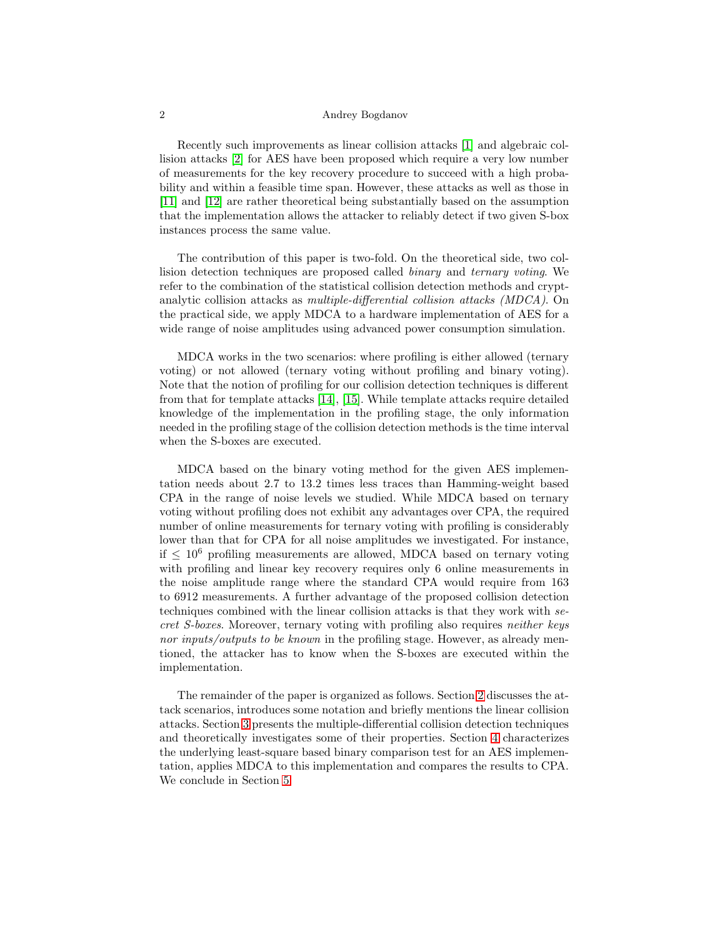Recently such improvements as linear collision attacks [\[1\]](#page-14-0) and algebraic collision attacks [\[2\]](#page-14-1) for AES have been proposed which require a very low number of measurements for the key recovery procedure to succeed with a high probability and within a feasible time span. However, these attacks as well as those in [\[11\]](#page-14-10) and [\[12\]](#page-15-0) are rather theoretical being substantially based on the assumption that the implementation allows the attacker to reliably detect if two given S-box instances process the same value.

The contribution of this paper is two-fold. On the theoretical side, two collision detection techniques are proposed called binary and ternary voting. We refer to the combination of the statistical collision detection methods and cryptanalytic collision attacks as multiple-differential collision attacks (MDCA). On the practical side, we apply MDCA to a hardware implementation of AES for a wide range of noise amplitudes using advanced power consumption simulation.

MDCA works in the two scenarios: where profiling is either allowed (ternary voting) or not allowed (ternary voting without profiling and binary voting). Note that the notion of profiling for our collision detection techniques is different from that for template attacks [\[14\]](#page-15-2), [\[15\]](#page-15-3). While template attacks require detailed knowledge of the implementation in the profiling stage, the only information needed in the profiling stage of the collision detection methods is the time interval when the S-boxes are executed.

MDCA based on the binary voting method for the given AES implementation needs about 2.7 to 13.2 times less traces than Hamming-weight based CPA in the range of noise levels we studied. While MDCA based on ternary voting without profiling does not exhibit any advantages over CPA, the required number of online measurements for ternary voting with profiling is considerably lower than that for CPA for all noise amplitudes we investigated. For instance, if  $\leq 10^6$  profiling measurements are allowed, MDCA based on ternary voting with profiling and linear key recovery requires only 6 online measurements in the noise amplitude range where the standard CPA would require from 163 to 6912 measurements. A further advantage of the proposed collision detection techniques combined with the linear collision attacks is that they work with secret S-boxes. Moreover, ternary voting with profiling also requires neither keys nor inputs/outputs to be known in the profiling stage. However, as already mentioned, the attacker has to know when the S-boxes are executed within the implementation.

The remainder of the paper is organized as follows. Section [2](#page-2-0) discusses the attack scenarios, introduces some notation and briefly mentions the linear collision attacks. Section [3](#page-3-0) presents the multiple-differential collision detection techniques and theoretically investigates some of their properties. Section [4](#page-9-0) characterizes the underlying least-square based binary comparison test for an AES implementation, applies MDCA to this implementation and compares the results to CPA. We conclude in Section [5.](#page-13-0)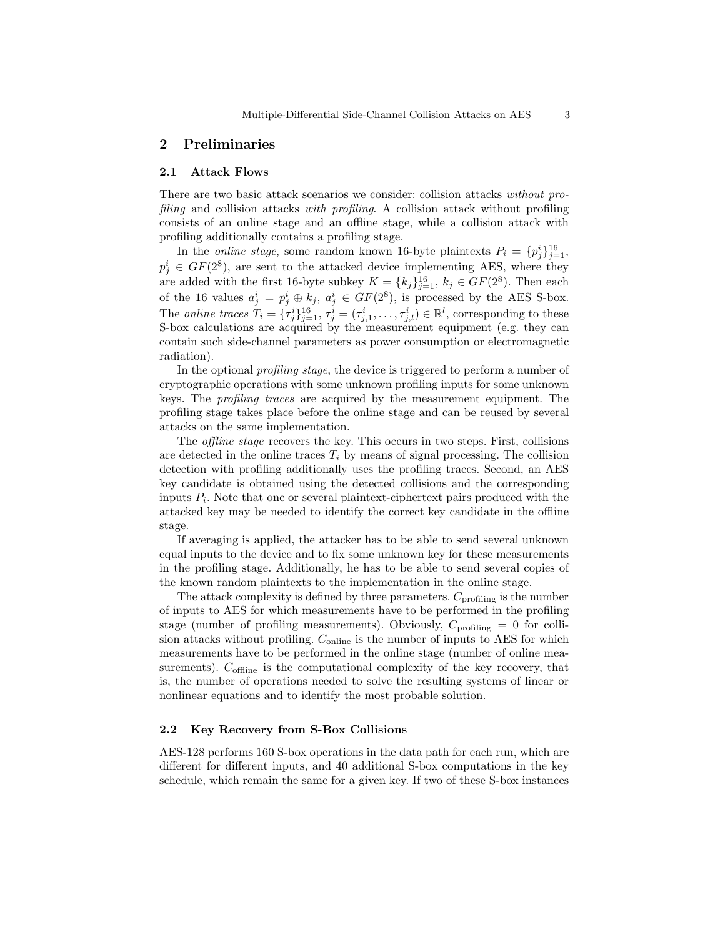# <span id="page-2-0"></span>2 Preliminaries

#### 2.1 Attack Flows

There are two basic attack scenarios we consider: collision attacks without profiling and collision attacks with profiling. A collision attack without profiling consists of an online stage and an offline stage, while a collision attack with profiling additionally contains a profiling stage.

In the *online stage*, some random known 16-byte plaintexts  $P_i = \{p_j^i\}_{j=1}^{16}$ ,  $p_j^i \in GF(2^8)$ , are sent to the attacked device implementing AES, where they are added with the first 16-byte subkey  $K = \{k_j\}_{j=1}^{16}$ ,  $k_j \in GF(2^8)$ . Then each of the 16 values  $a_j^i = p_j^i \oplus k_j$ ,  $a_j^i \in GF(2^8)$ , is processed by the AES S-box. The *online traces*  $T_i = {\tau_j^i}_{j=1}^{16}, \tau_j^i = (\tau_{j,1}^i, \dots, \tau_{j,l}^i) \in \mathbb{R}^l$ , corresponding to these S-box calculations are acquired by the measurement equipment (e.g. they can contain such side-channel parameters as power consumption or electromagnetic radiation).

In the optional profiling stage, the device is triggered to perform a number of cryptographic operations with some unknown profiling inputs for some unknown keys. The profiling traces are acquired by the measurement equipment. The profiling stage takes place before the online stage and can be reused by several attacks on the same implementation.

The offline stage recovers the key. This occurs in two steps. First, collisions are detected in the online traces  $T_i$  by means of signal processing. The collision detection with profiling additionally uses the profiling traces. Second, an AES key candidate is obtained using the detected collisions and the corresponding inputs  $P_i$ . Note that one or several plaintext-ciphertext pairs produced with the attacked key may be needed to identify the correct key candidate in the offline stage.

If averaging is applied, the attacker has to be able to send several unknown equal inputs to the device and to fix some unknown key for these measurements in the profiling stage. Additionally, he has to be able to send several copies of the known random plaintexts to the implementation in the online stage.

The attack complexity is defined by three parameters.  $C_{\text{profiling}}$  is the number of inputs to AES for which measurements have to be performed in the profiling stage (number of profiling measurements). Obviously,  $C_{\text{profiling}} = 0$  for collision attacks without profiling.  $C_{\text{online}}$  is the number of inputs to AES for which measurements have to be performed in the online stage (number of online measurements).  $C_{\text{offline}}$  is the computational complexity of the key recovery, that is, the number of operations needed to solve the resulting systems of linear or nonlinear equations and to identify the most probable solution.

# 2.2 Key Recovery from S-Box Collisions

AES-128 performs 160 S-box operations in the data path for each run, which are different for different inputs, and 40 additional S-box computations in the key schedule, which remain the same for a given key. If two of these S-box instances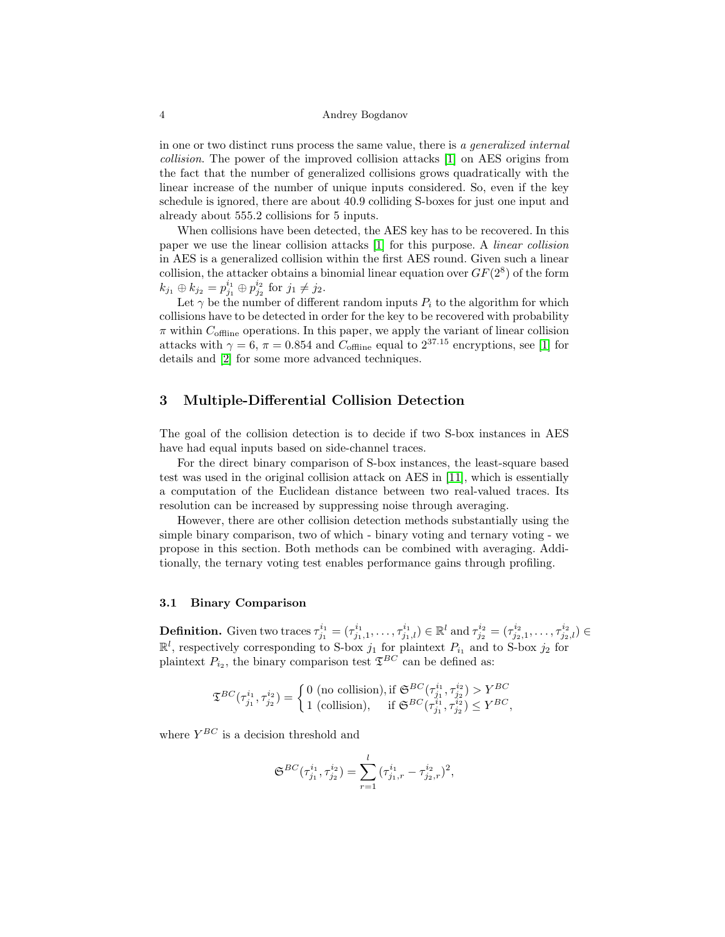in one or two distinct runs process the same value, there is a generalized internal collision. The power of the improved collision attacks [\[1\]](#page-14-0) on AES origins from the fact that the number of generalized collisions grows quadratically with the linear increase of the number of unique inputs considered. So, even if the key schedule is ignored, there are about 40.9 colliding S-boxes for just one input and already about 555.2 collisions for 5 inputs.

When collisions have been detected, the AES key has to be recovered. In this paper we use the linear collision attacks [\[1\]](#page-14-0) for this purpose. A linear collision in AES is a generalized collision within the first AES round. Given such a linear collision, the attacker obtains a binomial linear equation over  $GF(2<sup>8</sup>)$  of the form  $k_{j_1} \oplus k_{j_2} = p_{j_1}^{i_1} \oplus p_{j_2}^{i_2}$  for  $j_1 \neq j_2$ .

Let  $\gamma$  be the number of different random inputs  $P_i$  to the algorithm for which collisions have to be detected in order for the key to be recovered with probability  $\pi$  within  $C_{\text{offline}}$  operations. In this paper, we apply the variant of linear collision attacks with  $\gamma = 6$ ,  $\pi = 0.854$  and  $C_{\text{offline}}$  equal to  $2^{37.15}$  encryptions, see [\[1\]](#page-14-0) for details and [\[2\]](#page-14-1) for some more advanced techniques.

# <span id="page-3-0"></span>3 Multiple-Differential Collision Detection

The goal of the collision detection is to decide if two S-box instances in AES have had equal inputs based on side-channel traces.

For the direct binary comparison of S-box instances, the least-square based test was used in the original collision attack on AES in [\[11\]](#page-14-10), which is essentially a computation of the Euclidean distance between two real-valued traces. Its resolution can be increased by suppressing noise through averaging.

However, there are other collision detection methods substantially using the simple binary comparison, two of which - binary voting and ternary voting - we propose in this section. Both methods can be combined with averaging. Additionally, the ternary voting test enables performance gains through profiling.

# 3.1 Binary Comparison

**Definition.** Given two traces  $\tau_{j_1}^{i_1} = (\tau_{j_1,1}^{i_1}, \ldots, \tau_{j_1,l}^{i_1}) \in \mathbb{R}^l$  and  $\tau_{j_2}^{i_2} = (\tau_{j_2,1}^{i_2}, \ldots, \tau_{j_2,l}^{i_2}) \in$  $\mathbb{R}^l$ , respectively corresponding to S-box  $j_1$  for plaintext  $P_{i_1}$  and to S-box  $j_2$  for plaintext  $P_{i_2}$ , the binary comparison test  $\mathfrak{T}^{BC}$  can be defined as:

$$
\mathfrak{T}^{BC}(\tau^{i_1}_{j_1},\tau^{i_2}_{j_2})=\left\{\begin{matrix} 0 \text{ (no collision)}, \text{if } \mathfrak{S}^{BC}(\tau^{i_1}_{j_1},\tau^{i_2}_{j_2})>Y^{BC} \\ 1 \text{ (collision)}, & \text{if } \mathfrak{S}^{BC}(\tau^{i_1}_{j_1},\tau^{i_2}_{j_2})\leq Y^{BC}, \end{matrix}\right.
$$

where  $Y^{BC}$  is a decision threshold and

$$
\mathfrak{S}^{BC}(\tau_{j_1}^{i_1}, \tau_{j_2}^{i_2}) = \sum_{r=1}^l {(\tau_{j_1,r}^{i_1} - \tau_{j_2,r}^{i_2})^2},
$$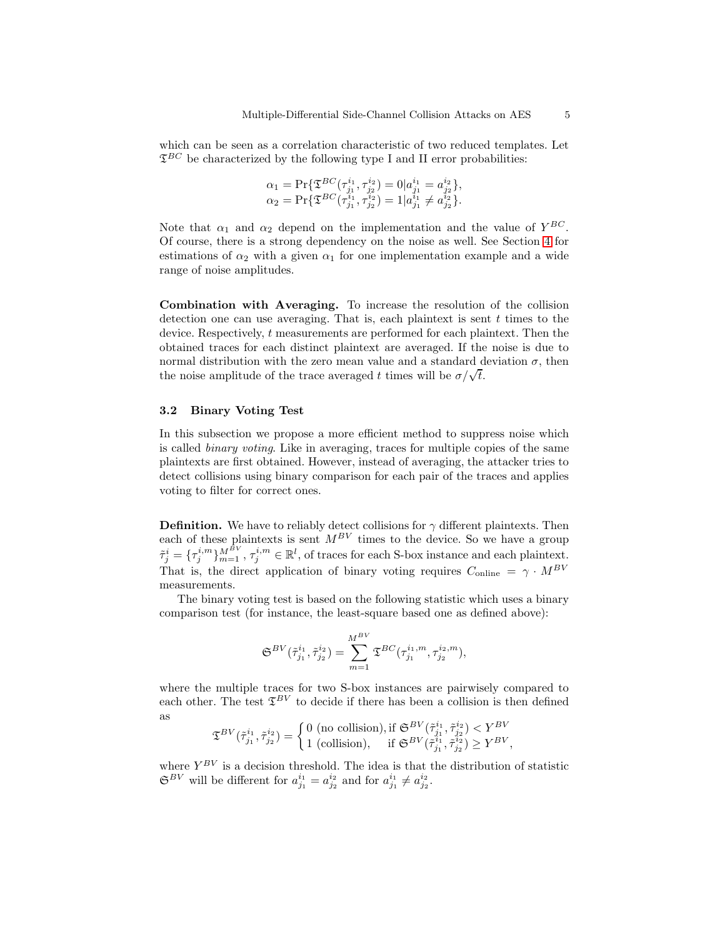which can be seen as a correlation characteristic of two reduced templates. Let  $\mathfrak{T}^{BC}$  be characterized by the following type I and II error probabilities:

$$
\alpha_1 = \Pr \{ \mathfrak{T}^{BC}(\tau^{i_1}_{j_1}, \tau^{i_2}_{j_2}) = 0 | a^{i_1}_{j_1} = a^{i_2}_{j_2} \}, \n\alpha_2 = \Pr \{ \mathfrak{T}^{BC}(\tau^{i_1}_{j_1}, \tau^{i_2}_{j_2}) = 1 | a^{i_1}_{j_1} \neq a^{i_2}_{j_2} \}.
$$

Note that  $\alpha_1$  and  $\alpha_2$  depend on the implementation and the value of  $Y^{BC}$ . Of course, there is a strong dependency on the noise as well. See Section [4](#page-9-0) for estimations of  $\alpha_2$  with a given  $\alpha_1$  for one implementation example and a wide range of noise amplitudes.

Combination with Averaging. To increase the resolution of the collision detection one can use averaging. That is, each plaintext is sent  $t$  times to the device. Respectively, t measurements are performed for each plaintext. Then the obtained traces for each distinct plaintext are averaged. If the noise is due to normal distribution with the zero mean value and a standard deviation  $\sigma$ , then the noise amplitude of the trace averaged t times will be  $\sigma/\sqrt{t}$ .

#### 3.2 Binary Voting Test

In this subsection we propose a more efficient method to suppress noise which is called binary voting. Like in averaging, traces for multiple copies of the same plaintexts are first obtained. However, instead of averaging, the attacker tries to detect collisions using binary comparison for each pair of the traces and applies voting to filter for correct ones.

**Definition.** We have to reliably detect collisions for  $\gamma$  different plaintexts. Then each of these plaintexts is sent  $M^{BV}$  times to the device. So we have a group  $\tilde{\tau}_j^i = {\{\tau_j^{i,m}\}}_{m=1}^{M^{\tilde{B}V}}, \tau_j^{i,m} \in \mathbb{R}^l$ , of traces for each S-box instance and each plaintext. That is, the direct application of binary voting requires  $C_{\text{online}} \,=\, \gamma \,\cdot \, M^{BV}$ measurements.

The binary voting test is based on the following statistic which uses a binary comparison test (for instance, the least-square based one as defined above):

$$
\mathfrak{S}^{BV}(\tilde{\tau}_{j_1}^{i_1},\tilde{\tau}_{j_2}^{i_2})=\sum_{m=1}^{M^{BV}}\mathfrak{T}^{BC}(\tau_{j_1}^{i_1,m},\tau_{j_2}^{i_2,m}),
$$

where the multiple traces for two S-box instances are pairwisely compared to each other. The test  $\mathfrak{T}^{BV}$  to decide if there has been a collision is then defined as

$$
\mathfrak{T}^{BV}(\tilde{\tau}_{j_1}^{i_1},\tilde{\tau}_{j_2}^{i_2}) = \begin{cases} 0 \text{ (no collision)}, \text{if } \mathfrak{S}^{BV}(\tilde{\tau}_{j_1}^{i_1},\tilde{\tau}_{j_2}^{i_2}) < Y^{BV} \\ 1 \text{ (collision)}, & \text{if } \mathfrak{S}^{BV}(\tilde{\tau}_{j_1}^{i_1},\tilde{\tau}_{j_2}^{i_2}) \ge Y^{BV}, \end{cases}
$$

where  $Y^{BV}$  is a decision threshold. The idea is that the distribution of statistic  $\mathfrak{S}^{BV}$  will be different for  $a_{j_1}^{i_1} = a_{j_2}^{i_2}$  and for  $a_{j_1}^{i_1} \neq a_{j_2}^{i_2}$ .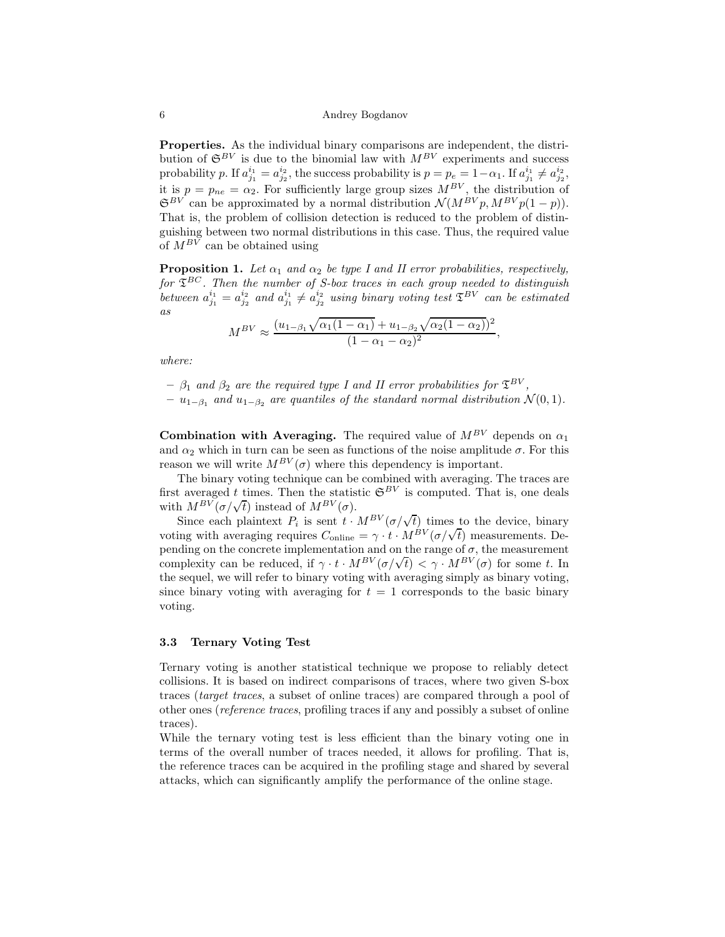Properties. As the individual binary comparisons are independent, the distribution of  $\mathfrak{S}^{BV}$  is due to the binomial law with  $M^{BV}$  experiments and success probability p. If  $a_{j_1}^{i_1} = a_{j_2}^{i_2}$ , the success probability is  $p = p_e = 1 - \alpha_1$ . If  $a_{j_1}^{i_1} \neq a_{j_2}^{i_2}$ , it is  $p = p_{ne} = \alpha_2$ . For sufficiently large group sizes  $M^{BV}$ , the distribution of  $\mathfrak{S}^{BV}$  can be approximated by a normal distribution  $\mathcal{N}(M^{BV}p, M^{BV}p(1-p)).$ That is, the problem of collision detection is reduced to the problem of distinguishing between two normal distributions in this case. Thus, the required value of  $M^{BV}$  can be obtained using

**Proposition 1.** Let  $\alpha_1$  and  $\alpha_2$  be type I and II error probabilities, respectively, for  $\mathfrak{T}^{BC}$ . Then the number of S-box traces in each group needed to distinguish between  $a_{j_1}^{i_1} = a_{j_2}^{i_2}$  and  $a_{j_1}^{i_1} \neq a_{j_2}^{i_2}$  using binary voting test  $\mathfrak{T}^{BV}$  can be estimated as

$$
M^{BV} \approx \frac{(u_{1-\beta_1}\sqrt{\alpha_1(1-\alpha_1)}+u_{1-\beta_2}\sqrt{\alpha_2(1-\alpha_2)})^2}{(1-\alpha_1-\alpha_2)^2},
$$

where:

 $\beta_1$  and  $\beta_2$  are the required type I and II error probabilities for  $\mathfrak{T}^{BV}$ ,

 $- u_{1-\beta_1}$  and  $u_{1-\beta_2}$  are quantiles of the standard normal distribution  $\mathcal{N}(0,1)$ .

**Combination with Averaging.** The required value of  $M^{BV}$  depends on  $\alpha_1$ and  $\alpha_2$  which in turn can be seen as functions of the noise amplitude  $\sigma$ . For this reason we will write  $M^{BV}(\sigma)$  where this dependency is important.

The binary voting technique can be combined with averaging. The traces are first averaged t times. Then the statistic  $\mathfrak{S}^{BV}$  is computed. That is, one deals with  $M^{BV}(\sigma/\sqrt{t})$  instead of  $M^{BV}(\sigma)$ .

Since each plaintext  $P_i$  is sent  $t \cdot M^{BV} (\sigma/\sqrt{t})$  times to the device, binary voting with averaging requires  $C_{\text{online}} = \gamma \cdot t \cdot M^{BV} (\sigma/\sqrt{t})$  measurements. Depending on the concrete implementation and on the range of  $\sigma$ , the measurement complexity can be reduced, if  $\gamma \cdot t \cdot M^{BV}(\sigma/\sqrt{t}) < \gamma \cdot M^{BV}(\sigma)$  for some t. In the sequel, we will refer to binary voting with averaging simply as binary voting, since binary voting with averaging for  $t = 1$  corresponds to the basic binary voting.

# 3.3 Ternary Voting Test

Ternary voting is another statistical technique we propose to reliably detect collisions. It is based on indirect comparisons of traces, where two given S-box traces (target traces, a subset of online traces) are compared through a pool of other ones (reference traces, profiling traces if any and possibly a subset of online traces).

While the ternary voting test is less efficient than the binary voting one in terms of the overall number of traces needed, it allows for profiling. That is, the reference traces can be acquired in the profiling stage and shared by several attacks, which can significantly amplify the performance of the online stage.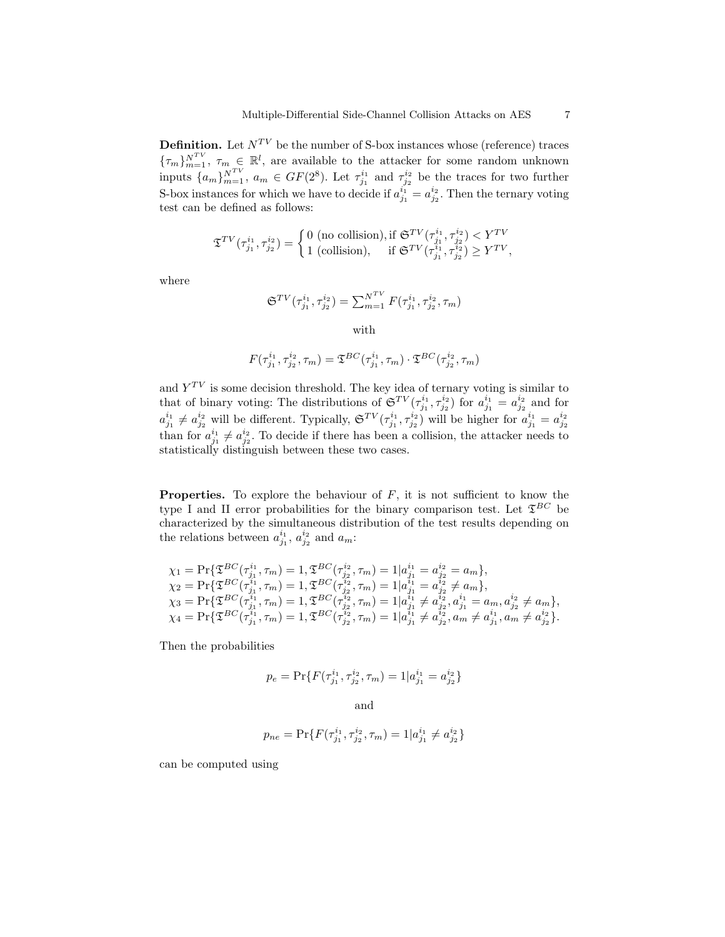**Definition.** Let  $N^{TV}$  be the number of S-box instances whose (reference) traces  ${\{\tau_m\}}_{m=1}^{N^{TV}}$ ,  $\tau_m \in \mathbb{R}^l$ , are available to the attacker for some random unknown inputs  $\{a_m\}_{m=1}^{N^{TV}}$ ,  $a_m \in GF(2^8)$ . Let  $\tau_{j_1}^{i_1}$  and  $\tau_{j_2}^{i_2}$  be the traces for two further S-box instances for which we have to decide if  $a_{j_1}^{i_1} = a_{j_2}^{i_2}$ . Then the ternary voting test can be defined as follows:

$$
\mathfrak{T}^{TV}(\tau_{j_1}^{i_1}, \tau_{j_2}^{i_2}) = \begin{cases} 0 \text{ (no collision)}, \text{if } \mathfrak{S}^{TV}(\tau_{j_1}^{i_1}, \tau_{j_2}^{i_2}) < Y^{TV} \\ 1 \text{ (collision)}, & \text{if } \mathfrak{S}^{TV}(\tau_{j_1}^{i_1}, \tau_{j_2}^{i_2}) \ge Y^{TV}, \end{cases}
$$

where

$$
\mathfrak{S}^{TV}(\tau_{j_1}^{i_1}, \tau_{j_2}^{i_2}) = \sum_{m=1}^{N^{TV}} F(\tau_{j_1}^{i_1}, \tau_{j_2}^{i_2}, \tau_m)
$$

with

$$
F(\tau_{j_1}^{i_1}, \tau_{j_2}^{i_2}, \tau_m) = \mathfrak{T}^{BC}(\tau_{j_1}^{i_1}, \tau_m) \cdot \mathfrak{T}^{BC}(\tau_{j_2}^{i_2}, \tau_m)
$$

and  $Y^{TV}$  is some decision threshold. The key idea of ternary voting is similar to that of binary voting: The distributions of  $\mathfrak{S}^{TV}(\tau_{j_1}^{i_1}, \tau_{j_2}^{i_2})$  for  $a_{j_1}^{i_1} = a_{j_2}^{i_2}$  and for  $a_{j_1}^{i_1} \neq a_{j_2}^{i_2}$  will be different. Typically,  $\mathfrak{S}^{TV}(\tau_{j_1}^{i_1}, \tau_{j_2}^{i_2})$  will be higher for  $a_{j_1}^{i_1} = a_{j_2}^{i_2}$ than for  $a_{j_1}^{i_1} \neq a_{j_2}^{i_2}$ . To decide if there has been a collision, the attacker needs to statistically distinguish between these two cases.

**Properties.** To explore the behaviour of  $F$ , it is not sufficient to know the type I and II error probabilities for the binary comparison test. Let  $\mathfrak{T}^{BC}$  be characterized by the simultaneous distribution of the test results depending on the relations between  $a_{j_1}^{i_1}, a_{j_2}^{i_2}$  and  $a_m$ :

$$
\begin{array}{l} \chi_1 = \Pr\{\mathfrak{T}^{BC}(\tau_{j_1}^{i_1}, \tau_m) = 1, \mathfrak{T}^{BC}(\tau_{j_2}^{i_2}, \tau_m) = 1 | a_{j_1}^{i_1} = a_{j_2}^{i_2} = a_m\},\\ \chi_2 = \Pr\{\mathfrak{T}^{BC}(\tau_{j_1}^{i_1}, \tau_m) = 1, \mathfrak{T}^{BC}(\tau_{j_2}^{i_2}, \tau_m) = 1 | a_{j_1}^{i_1} = a_{j_2}^{i_2} \neq a_m\},\\ \chi_3 = \Pr\{\mathfrak{T}^{BC}(\tau_{j_1}^{i_1}, \tau_m) = 1, \mathfrak{T}^{BC}(\tau_{j_2}^{i_2}, \tau_m) = 1 | a_{j_1}^{i_1} \neq a_{j_2}^{i_2}, a_{j_1}^{i_1} = a_m, a_{j_2}^{i_2} \neq a_m\},\\ \chi_4 = \Pr\{\mathfrak{T}^{BC}(\tau_{j_1}^{i_1}, \tau_m) = 1, \mathfrak{T}^{BC}(\tau_{j_2}^{i_2}, \tau_m) = 1 | a_{j_1}^{i_1} \neq a_{j_2}^{i_2}, a_m \neq a_{j_1}^{i_1}, a_m \neq a_{j_2}^{i_2}\}.\end{array}
$$

Then the probabilities

$$
p_e = \Pr\{F(\tau_{j_1}^{i_1}, \tau_{j_2}^{i_2}, \tau_m) = 1 | a_{j_1}^{i_1} = a_{j_2}^{i_2}\}
$$

and

$$
p_{ne} = \Pr\{F(\tau_{j_1}^{i_1}, \tau_{j_2}^{i_2}, \tau_m) = 1 | a_{j_1}^{i_1} \neq a_{j_2}^{i_2}\}
$$

can be computed using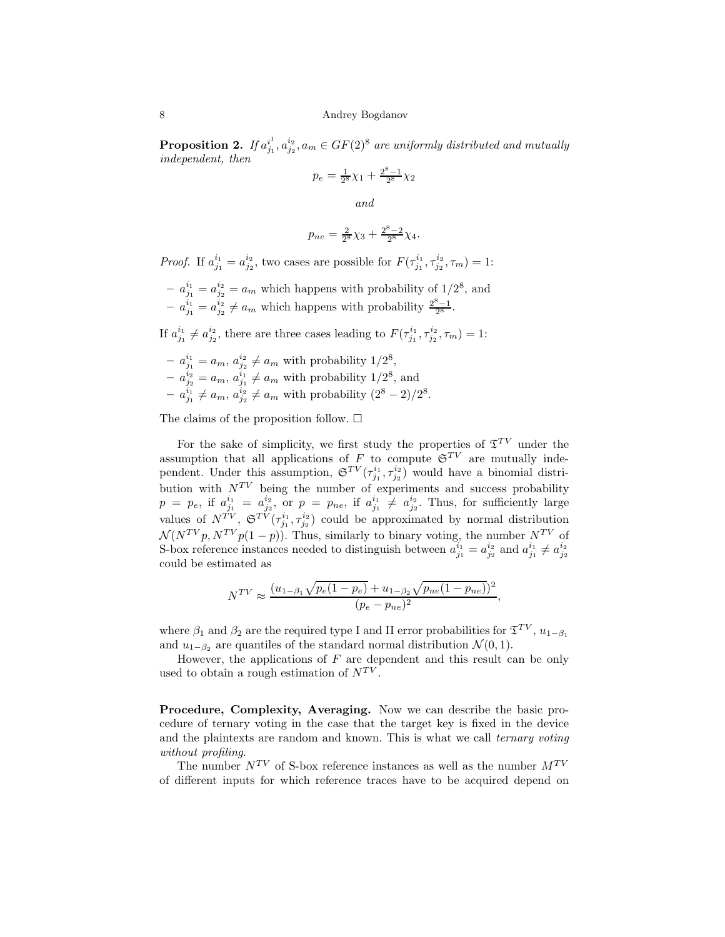Proposition 2. If  $a_{j_1}^{i_1}$  $j_1^{i_1}, a_{j_2}^{i_2}, a_m \in GF(2)^8$  are uniformly distributed and mutually independent, then

$$
p_e = \frac{1}{2^8} \chi_1 + \frac{2^8 - 1}{2^8} \chi_2
$$

and

$$
p_{ne} = \frac{2}{2^8} \chi_3 + \frac{2^8 - 2}{2^8} \chi_4.
$$

*Proof.* If  $a_{j_1}^{i_1} = a_{j_2}^{i_2}$ , two cases are possible for  $F(\tau_{j_1}^{i_1}, \tau_{j_2}^{i_2}, \tau_m) = 1$ :

 $a_{j_1}^{i_1} = a_{j_2}^{i_2} = a_m$  which happens with probability of  $1/2^8$ , and  $a_{j_1}^{i_1} = a_{j_2}^{i_2} \neq a_m$  which happens with probability  $\frac{2^8-1}{2^8}$ .

If  $a_{j_1}^{i_1} \neq a_{j_2}^{i_2}$ , there are three cases leading to  $F(\tau_{j_1}^{i_1}, \tau_{j_2}^{i_2}, \tau_m) = 1$ :

- 
$$
a_{j_1}^{i_1} = a_m
$$
,  $a_{j_2}^{i_2} \neq a_m$  with probability  $1/2^8$ ,  
\n-  $a_{j_2}^{i_2} = a_m$ ,  $a_{j_1}^{i_1} \neq a_m$  with probability  $1/2^8$ , and  
\n-  $a_{j_1}^{i_1} \neq a_m$ ,  $a_{j_2}^{i_2} \neq a_m$  with probability  $(2^8 - 2)/2^8$ .

The claims of the proposition follow.  $\square$ 

For the sake of simplicity, we first study the properties of  $\mathfrak{T}^{TV}$  under the assumption that all applications of F to compute  $\mathfrak{S}^{TV}$  are mutually independent. Under this assumption,  $\mathfrak{S}^{TV}(\tau_{j_1}^{i_1}, \tau_{j_2}^{i_2})$  would have a binomial distribution with  $N^{TV}$  being the number of experiments and success probability  $p = p_e$ , if  $a_{j_1}^{i_1} = a_{j_2}^{i_2}$ , or  $p = p_{ne}$ , if  $a_{j_1}^{i_1} \neq a_{j_2}^{i_2}$ . Thus, for sufficiently large values of  $N^{TV}$ ,  $\mathfrak{S}^{TV}(\tau_{j_1}^{i_1}, \tau_{j_2}^{i_2})$  could be approximated by normal distribution  $\mathcal{N}(N^{TV}p, N^{TV}p(1-p)).$  Thus, similarly to binary voting, the number  $N^{TV}$  of S-box reference instances needed to distinguish between  $a_{j_1}^{i_1} = a_{j_2}^{i_2}$  and  $a_{j_1}^{i_1} \neq a_{j_2}^{i_2}$ could be estimated as

$$
N^{TV} \approx \frac{(u_{1-\beta_1}\sqrt{p_e(1-p_e)}+u_{1-\beta_2}\sqrt{p_{ne}(1-p_{ne}))^2}}{(p_e-p_{ne})^2},
$$

where  $\beta_1$  and  $\beta_2$  are the required type I and II error probabilities for  $\mathfrak{T}^{TV}$ ,  $u_{1-\beta_1}$ and  $u_{1-\beta_2}$  are quantiles of the standard normal distribution  $\mathcal{N}(0, 1)$ .

However, the applications of  $F$  are dependent and this result can be only used to obtain a rough estimation of  $N^{TV}$ .

Procedure, Complexity, Averaging. Now we can describe the basic procedure of ternary voting in the case that the target key is fixed in the device and the plaintexts are random and known. This is what we call ternary voting without profiling.

The number  $N^{TV}$  of S-box reference instances as well as the number  $M^{TV}$ of different inputs for which reference traces have to be acquired depend on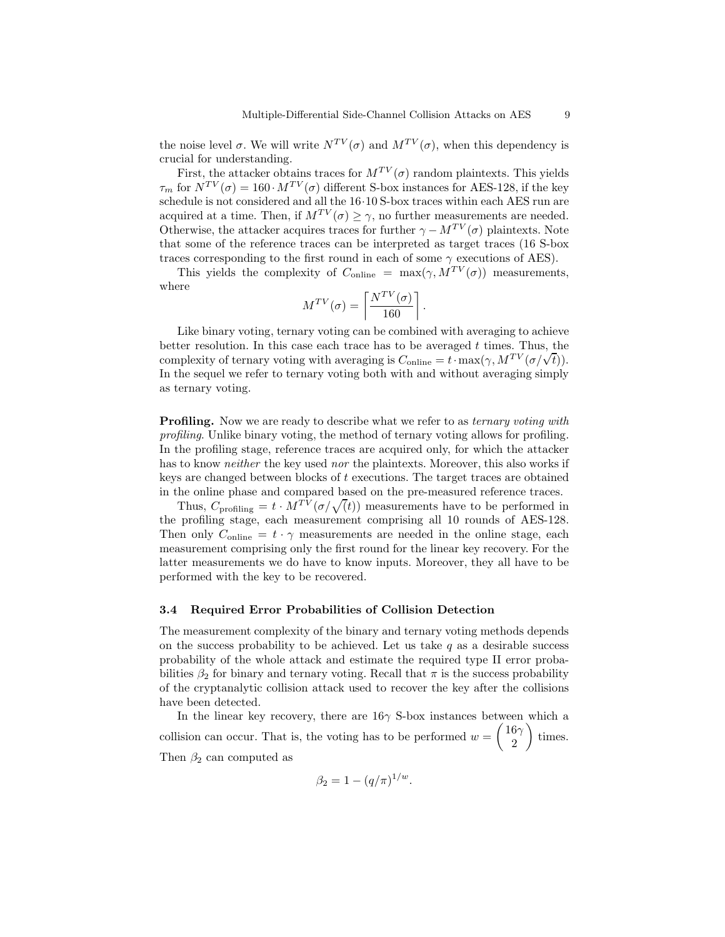the noise level  $\sigma$ . We will write  $N^{TV}(\sigma)$  and  $M^{TV}(\sigma)$ , when this dependency is crucial for understanding.

First, the attacker obtains traces for  $M^{TV}(\sigma)$  random plaintexts. This yields  $\tau_m$  for  $N^{TV}(\sigma) = 160 \cdot M^{TV}(\sigma)$  different S-box instances for AES-128, if the key schedule is not considered and all the 16·10 S-box traces within each AES run are acquired at a time. Then, if  $M^{TV}(\sigma) \geq \gamma$ , no further measurements are needed. Otherwise, the attacker acquires traces for further  $\gamma - M^{TV}(\sigma)$  plaintexts. Note that some of the reference traces can be interpreted as target traces (16 S-box traces corresponding to the first round in each of some  $\gamma$  executions of AES).

This yields the complexity of  $C_{\text{online}} = \max(\gamma, M^{TV}(\sigma))$  measurements, where

$$
M^{TV}(\sigma) = \left\lceil \frac{N^{TV}(\sigma)}{160} \right\rceil.
$$

Like binary voting, ternary voting can be combined with averaging to achieve better resolution. In this case each trace has to be averaged  $t$  times. Thus, the complexity of ternary voting with averaging is  $C_{\text{online}} = t \cdot \max(\gamma, M^{TV}(\sigma/\sqrt{t}))$ . In the sequel we refer to ternary voting both with and without averaging simply as ternary voting.

**Profiling.** Now we are ready to describe what we refer to as *ternary voting with* profiling. Unlike binary voting, the method of ternary voting allows for profiling. In the profiling stage, reference traces are acquired only, for which the attacker has to know *neither* the key used nor the plaintexts. Moreover, this also works if keys are changed between blocks of t executions. The target traces are obtained in the online phase and compared based on the pre-measured reference traces.

Thus,  $C_{\text{profiling}} = t \cdot M^{TV} (\sigma/\sqrt{t})$  measurements have to be performed in the profiling stage, each measurement comprising all 10 rounds of AES-128. Then only  $C_{\text{online}} = t \cdot \gamma$  measurements are needed in the online stage, each measurement comprising only the first round for the linear key recovery. For the latter measurements we do have to know inputs. Moreover, they all have to be performed with the key to be recovered.

#### 3.4 Required Error Probabilities of Collision Detection

The measurement complexity of the binary and ternary voting methods depends on the success probability to be achieved. Let us take  $q$  as a desirable success probability of the whole attack and estimate the required type II error probabilities  $\beta_2$  for binary and ternary voting. Recall that  $\pi$  is the success probability of the cryptanalytic collision attack used to recover the key after the collisions have been detected.

In the linear key recovery, there are  $16\gamma$  S-box instances between which a collision can occur. That is, the voting has to be performed  $w = \begin{pmatrix} 16 \\ 2 \end{pmatrix}$ 2  $\Big)$  times. Then  $\beta_2$  can computed as

$$
\beta_2 = 1 - (q/\pi)^{1/w}.
$$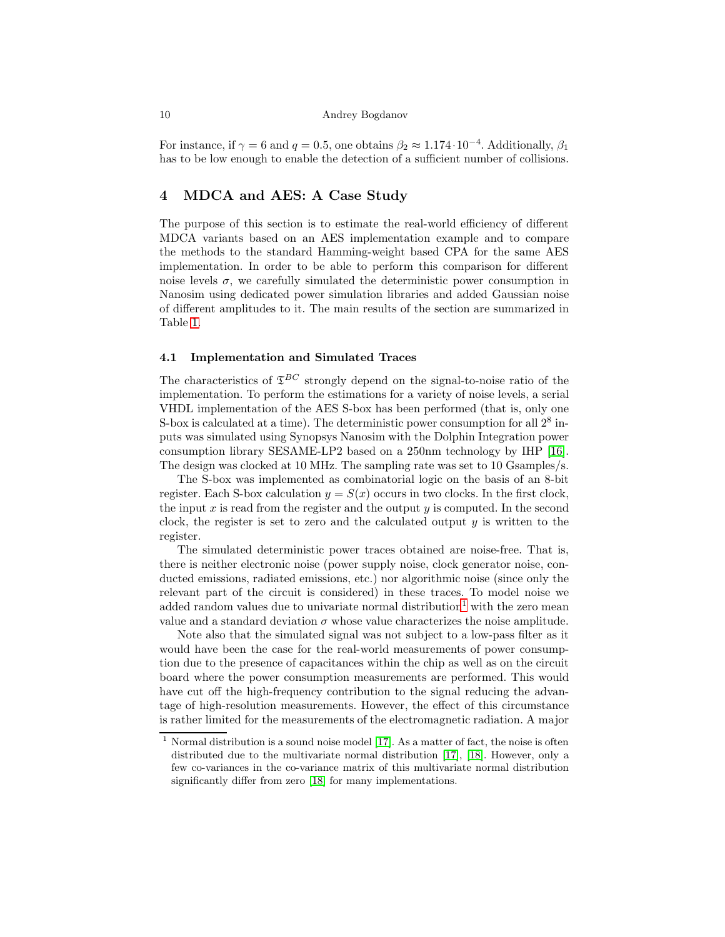For instance, if  $\gamma = 6$  and  $q = 0.5$ , one obtains  $\beta_2 \approx 1.174 \cdot 10^{-4}$ . Additionally,  $\beta_1$ has to be low enough to enable the detection of a sufficient number of collisions.

# <span id="page-9-0"></span>4 MDCA and AES: A Case Study

The purpose of this section is to estimate the real-world efficiency of different MDCA variants based on an AES implementation example and to compare the methods to the standard Hamming-weight based CPA for the same AES implementation. In order to be able to perform this comparison for different noise levels  $\sigma$ , we carefully simulated the deterministic power consumption in Nanosim using dedicated power simulation libraries and added Gaussian noise of different amplitudes to it. The main results of the section are summarized in Table [1.](#page-11-0)

# 4.1 Implementation and Simulated Traces

The characteristics of  $\mathfrak{T}^{BC}$  strongly depend on the signal-to-noise ratio of the implementation. To perform the estimations for a variety of noise levels, a serial VHDL implementation of the AES S-box has been performed (that is, only one S-box is calculated at a time). The deterministic power consumption for all  $2^8$  inputs was simulated using Synopsys Nanosim with the Dolphin Integration power consumption library SESAME-LP2 based on a 250nm technology by IHP [\[16\]](#page-15-4). The design was clocked at 10 MHz. The sampling rate was set to 10 Gsamples/s.

The S-box was implemented as combinatorial logic on the basis of an 8-bit register. Each S-box calculation  $y = S(x)$  occurs in two clocks. In the first clock, the input  $x$  is read from the register and the output  $y$  is computed. In the second clock, the register is set to zero and the calculated output  $y$  is written to the register.

The simulated deterministic power traces obtained are noise-free. That is, there is neither electronic noise (power supply noise, clock generator noise, conducted emissions, radiated emissions, etc.) nor algorithmic noise (since only the relevant part of the circuit is considered) in these traces. To model noise we added random values due to univariate normal distribution<sup>[1](#page-9-1)</sup> with the zero mean value and a standard deviation  $\sigma$  whose value characterizes the noise amplitude.

Note also that the simulated signal was not subject to a low-pass filter as it would have been the case for the real-world measurements of power consumption due to the presence of capacitances within the chip as well as on the circuit board where the power consumption measurements are performed. This would have cut off the high-frequency contribution to the signal reducing the advantage of high-resolution measurements. However, the effect of this circumstance is rather limited for the measurements of the electromagnetic radiation. A major

<span id="page-9-1"></span><sup>&</sup>lt;sup>1</sup> Normal distribution is a sound noise model [\[17\]](#page-15-5). As a matter of fact, the noise is often distributed due to the multivariate normal distribution [\[17\]](#page-15-5), [\[18\]](#page-15-6). However, only a few co-variances in the co-variance matrix of this multivariate normal distribution significantly differ from zero [\[18\]](#page-15-6) for many implementations.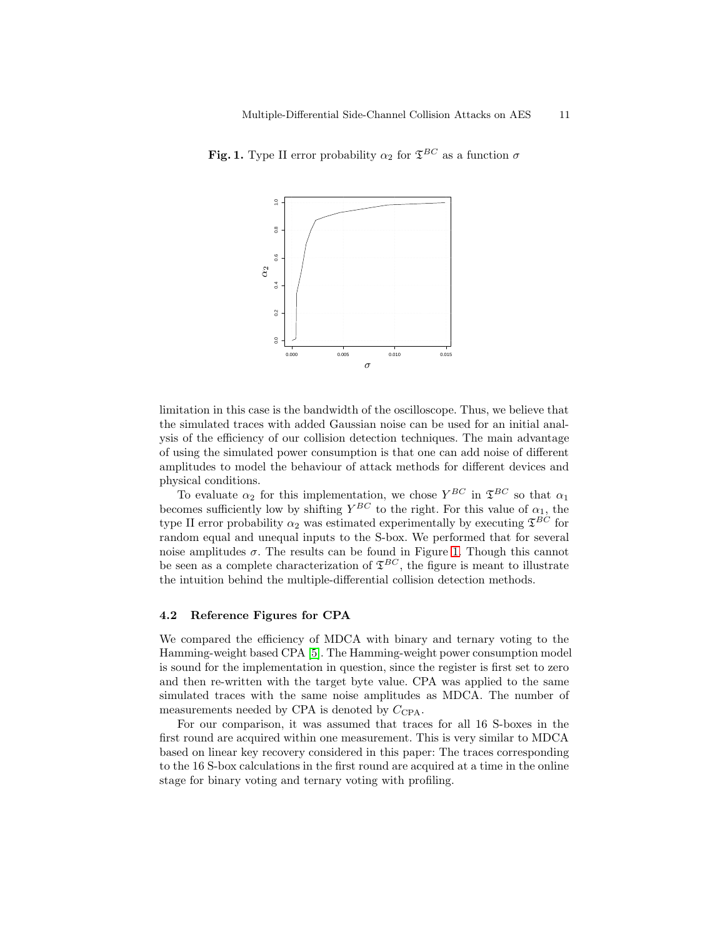<span id="page-10-0"></span>

Fig. 1. Type II error probability  $\alpha_2$  for  $\mathfrak{T}^{BC}$  as a function  $\sigma$ 

limitation in this case is the bandwidth of the oscilloscope. Thus, we believe that the simulated traces with added Gaussian noise can be used for an initial analysis of the efficiency of our collision detection techniques. The main advantage of using the simulated power consumption is that one can add noise of different amplitudes to model the behaviour of attack methods for different devices and physical conditions.

To evaluate  $\alpha_2$  for this implementation, we chose  $Y^{BC}$  in  $\mathfrak{T}^{BC}$  so that  $\alpha_1$ becomes sufficiently low by shifting  $Y^{BC}$  to the right. For this value of  $\alpha_1$ , the type II error probability  $\alpha_2$  was estimated experimentally by executing  $\mathfrak{T}^{BC}$  for random equal and unequal inputs to the S-box. We performed that for several noise amplitudes  $\sigma$ . The results can be found in Figure [1.](#page-10-0) Though this cannot be seen as a complete characterization of  $\mathfrak{T}^{BC}$ , the figure is meant to illustrate the intuition behind the multiple-differential collision detection methods.

#### 4.2 Reference Figures for CPA

We compared the efficiency of MDCA with binary and ternary voting to the Hamming-weight based CPA [\[5\]](#page-14-4). The Hamming-weight power consumption model is sound for the implementation in question, since the register is first set to zero and then re-written with the target byte value. CPA was applied to the same simulated traces with the same noise amplitudes as MDCA. The number of measurements needed by CPA is denoted by  $C_{\text{CPA}}$ .

For our comparison, it was assumed that traces for all 16 S-boxes in the first round are acquired within one measurement. This is very similar to MDCA based on linear key recovery considered in this paper: The traces corresponding to the 16 S-box calculations in the first round are acquired at a time in the online stage for binary voting and ternary voting with profiling.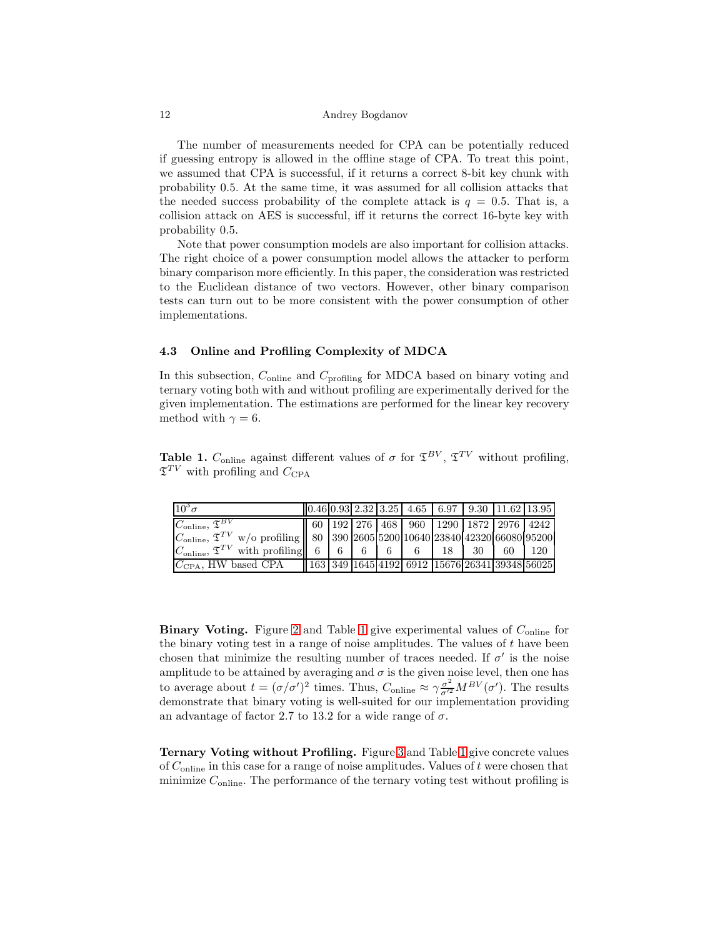The number of measurements needed for CPA can be potentially reduced if guessing entropy is allowed in the offline stage of CPA. To treat this point, we assumed that CPA is successful, if it returns a correct 8-bit key chunk with probability 0.5. At the same time, it was assumed for all collision attacks that the needed success probability of the complete attack is  $q = 0.5$ . That is, a collision attack on AES is successful, iff it returns the correct 16-byte key with probability 0.5.

Note that power consumption models are also important for collision attacks. The right choice of a power consumption model allows the attacker to perform binary comparison more efficiently. In this paper, the consideration was restricted to the Euclidean distance of two vectors. However, other binary comparison tests can turn out to be more consistent with the power consumption of other implementations.

# 4.3 Online and Profiling Complexity of MDCA

In this subsection,  $C_{\text{online}}$  and  $C_{\text{profiling}}$  for MDCA based on binary voting and ternary voting both with and without profiling are experimentally derived for the given implementation. The estimations are performed for the linear key recovery method with  $\gamma = 6$ .

<span id="page-11-0"></span>**Table 1.**  $C_{\text{online}}$  against different values of  $\sigma$  for  $\mathfrak{T}^{BV}$ ,  $\mathfrak{T}^{TV}$  without profiling,  $\mathfrak{T}^{TV}$  with profiling and  $C_{\text{CPA}}$ 

| $10^3 \sigma$                                                                         |  |  | $[0.46 \, 0.93 \, 2.32 \, 3.25 \, 4.65 \, 6.97 \, 9.30 \, 11.62 \, 13.95]$ |  |  |
|---------------------------------------------------------------------------------------|--|--|----------------------------------------------------------------------------|--|--|
|                                                                                       |  |  |                                                                            |  |  |
|                                                                                       |  |  |                                                                            |  |  |
| $ C_{\text{online}} $ , $\mathfrak{T}^{TV}$ with profiling 6 6 6 6 6 6 6 18 30 60 120 |  |  |                                                                            |  |  |
| $CCPA$ , HW based CPA $  163 349 1645 4192 6912 15676 26341 39348 56025 $             |  |  |                                                                            |  |  |

**Binary Voting.** Figure [2](#page-12-0) and Table [1](#page-11-0) give experimental values of  $C_{\text{online}}$  for the binary voting test in a range of noise amplitudes. The values of  $t$  have been chosen that minimize the resulting number of traces needed. If  $\sigma'$  is the noise amplitude to be attained by averaging and  $\sigma$  is the given noise level, then one has to average about  $t = (\sigma/\sigma')^2$  times. Thus,  $C_{\text{online}} \approx \gamma \frac{\sigma^2}{\sigma'^2} M^{BV}(\sigma')$ . The results demonstrate that binary voting is well-suited for our implementation providing an advantage of factor 2.7 to 13.2 for a wide range of  $\sigma$ .

Ternary Voting without Profiling. Figure [3](#page-12-1) and Table [1](#page-11-0) give concrete values of  $C_{\text{online}}$  in this case for a range of noise amplitudes. Values of t were chosen that minimize  $C_{\text{online}}$ . The performance of the ternary voting test without profiling is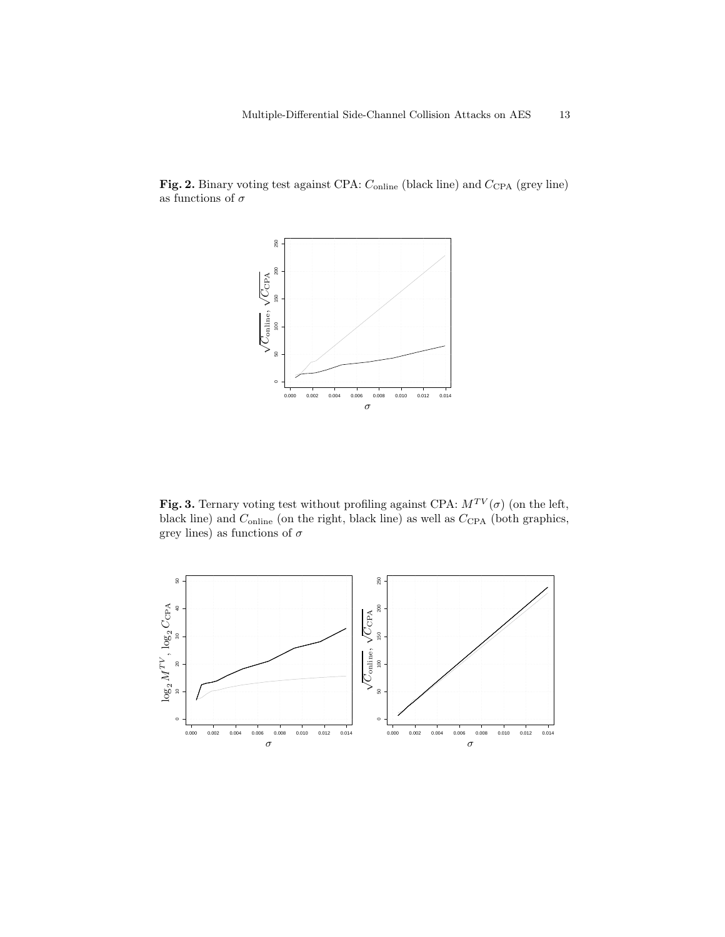

<span id="page-12-0"></span>Fig. 2. Binary voting test against CPA:  $C_{\text{online}}$  (black line) and  $C_{\text{CPA}}$  (grey line) as functions of  $\sigma$ 

<span id="page-12-1"></span>Fig. 3. Ternary voting test without profiling against CPA:  $M^{TV}(\sigma)$  (on the left, black line) and  $C_{\text{online}}$  (on the right, black line) as well as  $C_{\text{CPA}}$  (both graphics, grey lines) as functions of  $\sigma$ 

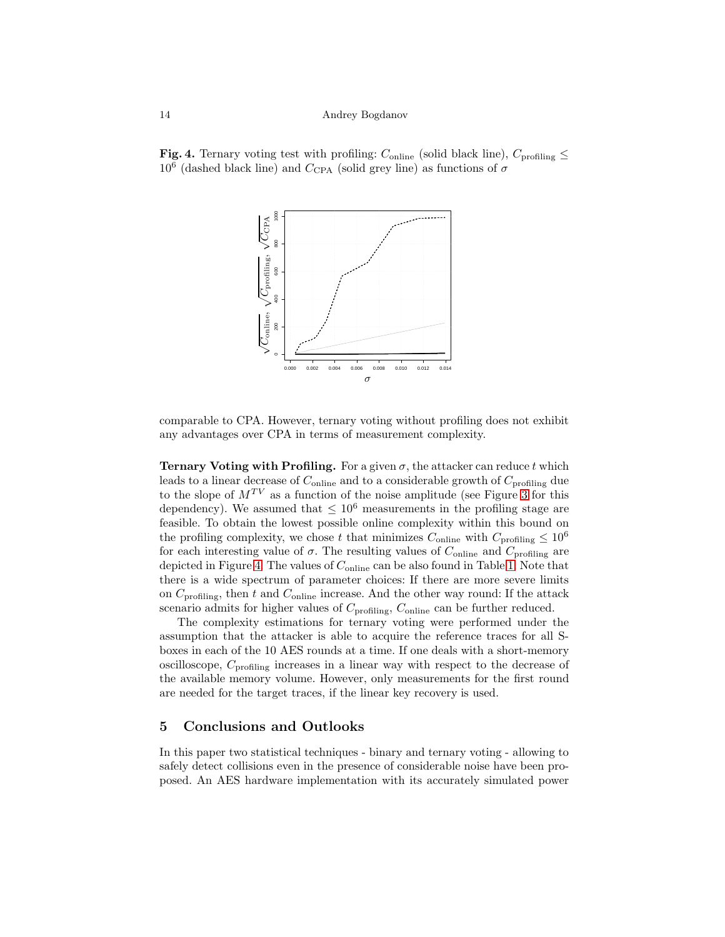<span id="page-13-1"></span>



comparable to CPA. However, ternary voting without profiling does not exhibit any advantages over CPA in terms of measurement complexity.

**Ternary Voting with Profiling.** For a given  $\sigma$ , the attacker can reduce t which leads to a linear decrease of  $C_{\text{online}}$  and to a considerable growth of  $C_{\text{profiling}}$  due to the slope of  $M^{TV}$  as a function of the noise amplitude (see Figure [3](#page-12-1) for this dependency). We assumed that  $\leq 10^6$  measurements in the profiling stage are feasible. To obtain the lowest possible online complexity within this bound on the profiling complexity, we chose t that minimizes  $C_{\text{online}}$  with  $C_{\text{profiling}} \leq 10^6$ for each interesting value of  $\sigma$ . The resulting values of  $C_{\text{online}}$  and  $C_{\text{profiling}}$  are depicted in Figure [4.](#page-13-1) The values of  $C_{\text{online}}$  can be also found in Table [1.](#page-11-0) Note that there is a wide spectrum of parameter choices: If there are more severe limits on  $C_{\text{profiling}}$ , then t and  $C_{\text{online}}$  increase. And the other way round: If the attack scenario admits for higher values of  $C_{\text{profiling}}, C_{\text{online}}$  can be further reduced.

The complexity estimations for ternary voting were performed under the assumption that the attacker is able to acquire the reference traces for all Sboxes in each of the 10 AES rounds at a time. If one deals with a short-memory oscilloscope,  $C_{\text{profiling}}$  increases in a linear way with respect to the decrease of the available memory volume. However, only measurements for the first round are needed for the target traces, if the linear key recovery is used.

#### <span id="page-13-0"></span>5 Conclusions and Outlooks

In this paper two statistical techniques - binary and ternary voting - allowing to safely detect collisions even in the presence of considerable noise have been proposed. An AES hardware implementation with its accurately simulated power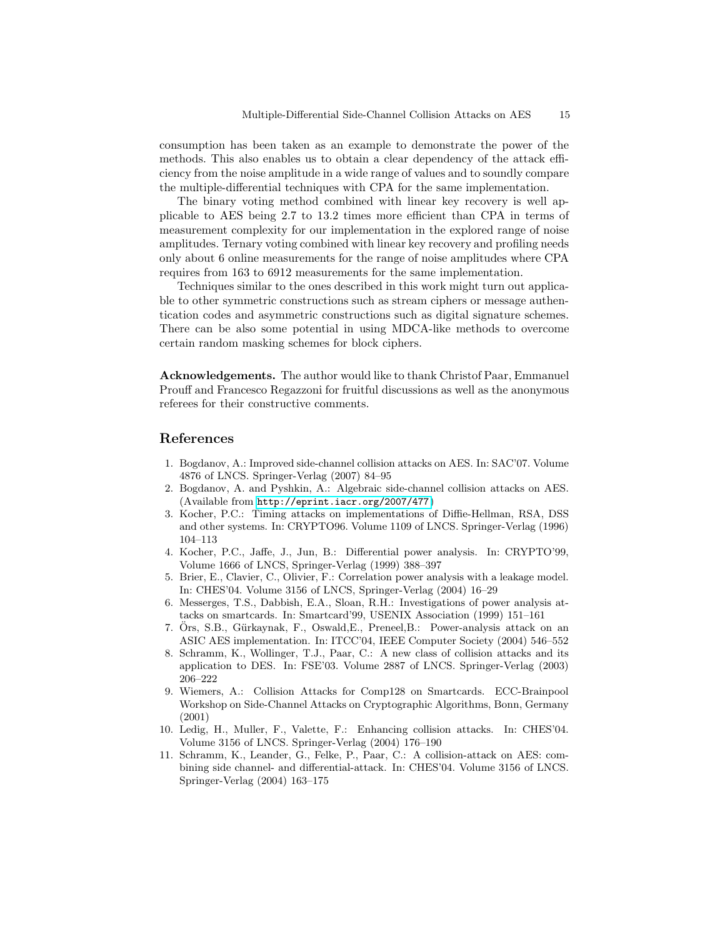consumption has been taken as an example to demonstrate the power of the methods. This also enables us to obtain a clear dependency of the attack efficiency from the noise amplitude in a wide range of values and to soundly compare the multiple-differential techniques with CPA for the same implementation.

The binary voting method combined with linear key recovery is well applicable to AES being 2.7 to 13.2 times more efficient than CPA in terms of measurement complexity for our implementation in the explored range of noise amplitudes. Ternary voting combined with linear key recovery and profiling needs only about 6 online measurements for the range of noise amplitudes where CPA requires from 163 to 6912 measurements for the same implementation.

Techniques similar to the ones described in this work might turn out applicable to other symmetric constructions such as stream ciphers or message authentication codes and asymmetric constructions such as digital signature schemes. There can be also some potential in using MDCA-like methods to overcome certain random masking schemes for block ciphers.

Acknowledgements. The author would like to thank Christof Paar, Emmanuel Prouff and Francesco Regazzoni for fruitful discussions as well as the anonymous referees for their constructive comments.

# <span id="page-14-0"></span>References

- 1. Bogdanov, A.: Improved side-channel collision attacks on AES. In: SAC'07. Volume 4876 of LNCS. Springer-Verlag (2007) 84–95
- <span id="page-14-1"></span>2. Bogdanov, A. and Pyshkin, A.: Algebraic side-channel collision attacks on AES. (Available from <http://eprint.iacr.org/2007/477>)
- <span id="page-14-2"></span>3. Kocher, P.C.: Timing attacks on implementations of Diffie-Hellman, RSA, DSS and other systems. In: CRYPTO96. Volume 1109 of LNCS. Springer-Verlag (1996) 104–113
- <span id="page-14-3"></span>4. Kocher, P.C., Jaffe, J., Jun, B.: Differential power analysis. In: CRYPTO'99, Volume 1666 of LNCS, Springer-Verlag (1999) 388–397
- <span id="page-14-4"></span>5. Brier, E., Clavier, C., Olivier, F.: Correlation power analysis with a leakage model. In: CHES'04. Volume 3156 of LNCS, Springer-Verlag (2004) 16–29
- <span id="page-14-5"></span>6. Messerges, T.S., Dabbish, E.A., Sloan, R.H.: Investigations of power analysis attacks on smartcards. In: Smartcard'99, USENIX Association (1999) 151–161
- <span id="page-14-6"></span>7. Ors, S.B., Gürkaynak, F., Oswald, E., Preneel, B.: Power-analysis attack on an ASIC AES implementation. In: ITCC'04, IEEE Computer Society (2004) 546–552
- <span id="page-14-7"></span>8. Schramm, K., Wollinger, T.J., Paar, C.: A new class of collision attacks and its application to DES. In: FSE'03. Volume 2887 of LNCS. Springer-Verlag (2003) 206–222
- <span id="page-14-8"></span>9. Wiemers, A.: Collision Attacks for Comp128 on Smartcards. ECC-Brainpool Workshop on Side-Channel Attacks on Cryptographic Algorithms, Bonn, Germany (2001)
- <span id="page-14-9"></span>10. Ledig, H., Muller, F., Valette, F.: Enhancing collision attacks. In: CHES'04. Volume 3156 of LNCS. Springer-Verlag (2004) 176–190
- <span id="page-14-10"></span>11. Schramm, K., Leander, G., Felke, P., Paar, C.: A collision-attack on AES: combining side channel- and differential-attack. In: CHES'04. Volume 3156 of LNCS. Springer-Verlag (2004) 163–175